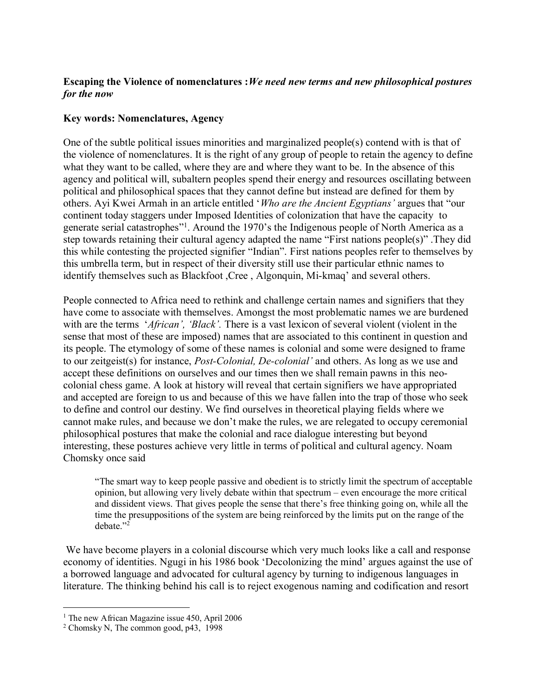## **Escaping the Violence of nomenclatures :***We need new terms and new philosophical postures for the now*

## **Key words: Nomenclatures, Agency**

One of the subtle political issues minorities and marginalized people(s) contend with is that of the violence of nomenclatures. It is the right of any group of people to retain the agency to define what they want to be called, where they are and where they want to be. In the absence of this agency and political will, subaltern peoples spend their energy and resources oscillating between political and philosophical spaces that they cannot define but instead are defined for them by others. Ayi Kwei Armah in an article entitled '*Who are the Ancient Egyptians'* argues that "our continent today staggers under Imposed Identities of colonization that have the capacity to generate serial catastrophes"<sup>1</sup>. Around the 1970's the Indigenous people of North America as a step towards retaining their cultural agency adapted the name "First nations people(s)" .They did this while contesting the projected signifier "Indian". First nations peoples refer to themselves by this umbrella term, but in respect of their diversity still use their particular ethnic names to identify themselves such as Blackfoot ,Cree , Algonquin, Mi-kmaq' and several others.

People connected to Africa need to rethink and challenge certain names and signifiers that they have come to associate with themselves. Amongst the most problematic names we are burdened with are the terms *'African'*, *'Black'*. There is a vast lexicon of several violent (violent in the sense that most of these are imposed) names that are associated to this continent in question and its people. The etymology of some of these names is colonial and some were designed to frame to our zeitgeist(s) for instance, *Post-Colonial, De-colonial'* and others. As long as we use and accept these definitions on ourselves and our times then we shall remain pawns in this neocolonial chess game. A look at history will reveal that certain signifiers we have appropriated and accepted are foreign to us and because of this we have fallen into the trap of those who seek to define and control our destiny. We find ourselves in theoretical playing fields where we cannot make rules, and because we don't make the rules, we are relegated to occupy ceremonial philosophical postures that make the colonial and race dialogue interesting but beyond interesting, these postures achieve very little in terms of political and cultural agency. Noam Chomsky once said

"The smart way to keep people passive and obedient is to strictly limit the spectrum of acceptable opinion, but allowing very lively debate within that spectrum – even encourage the more critical and dissident views. That gives people the sense that there's free thinking going on, while all the time the presuppositions of the system are being reinforced by the limits put on the range of the debate."<sup>2</sup>

We have become players in a colonial discourse which very much looks like a call and response economy of identities. Ngugi in his 1986 book 'Decolonizing the mind' argues against the use of a borrowed language and advocated for cultural agency by turning to indigenous languages in literature. The thinking behind his call is to reject exogenous naming and codification and resort

<sup>&</sup>lt;sup>1</sup> The new African Magazine issue 450, April 2006

<sup>2</sup> Chomsky N, The common good, p43, 1998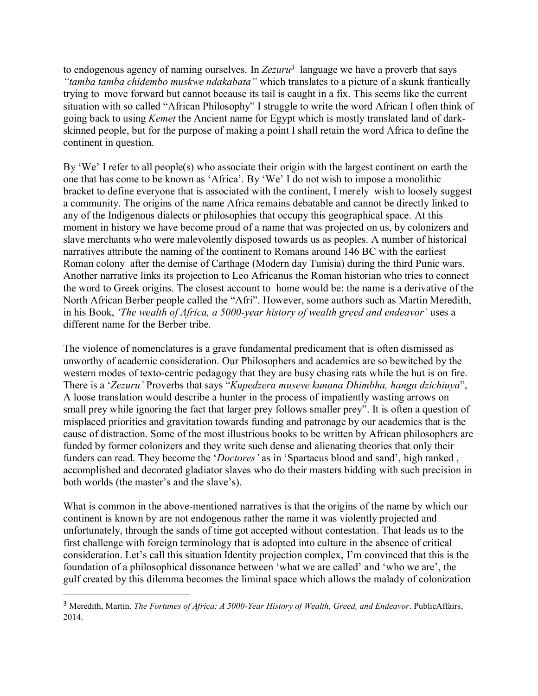to endogenous agency of naming ourselves. In *Zezuru<sup>3</sup>* language we have a proverb that says *"tamba tamba chidembo muskwe ndakabata"* which translates to a picture of a skunk frantically trying to move forward but cannot because its tail is caught in a fix. This seems like the current situation with so called "African Philosophy" I struggle to write the word African I often think of going back to using *Kemet* the Ancient name for Egypt which is mostly translated land of darkskinned people, but for the purpose of making a point I shall retain the word Africa to define the continent in question.

By 'We' I refer to all people(s) who associate their origin with the largest continent on earth the one that has come to be known as 'Africa'. By 'We' I do not wish to impose a monolithic bracket to define everyone that is associated with the continent, I merely wish to loosely suggest a community. The origins of the name Africa remains debatable and cannot be directly linked to any of the Indigenous dialects or philosophies that occupy this geographical space. At this moment in history we have become proud of a name that was projected on us, by colonizers and slave merchants who were malevolently disposed towards us as peoples. A number of historical narratives attribute the naming of the continent to Romans around 146 BC with the earliest Roman colony after the demise of Carthage (Modern day Tunisia) during the third Punic wars. Another narrative links its projection to Leo Africanus the Roman historian who tries to connect the word to Greek origins. The closest account to home would be: the name is a derivative of the North African Berber people called the "Afri". However, some authors such as Martin Meredith, in his Book, *'The wealth of Africa, a 5000-year history of wealth greed and endeavor'* uses a different name for the Berber tribe.

The violence of nomenclatures is a grave fundamental predicament that is often dismissed as unworthy of academic consideration. Our Philosophers and academics are so bewitched by the western modes of texto-centric pedagogy that they are busy chasing rats while the hut is on fire. There is a '*Zezuru'* Proverbs that says "*Kupedzera museve kunana Dhimbha, hanga dzichiuya*", A loose translation would describe a hunter in the process of impatiently wasting arrows on small prey while ignoring the fact that larger prey follows smaller prey". It is often a question of misplaced priorities and gravitation towards funding and patronage by our academics that is the cause of distraction. Some of the most illustrious books to be written by African philosophers are funded by former colonizers and they write such dense and alienating theories that only their funders can read. They become the '*Doctores'* as in 'Spartacus blood and sand', high ranked , accomplished and decorated gladiator slaves who do their masters bidding with such precision in both worlds (the master's and the slave's).

What is common in the above-mentioned narratives is that the origins of the name by which our continent is known by are not endogenous rather the name it was violently projected and unfortunately, through the sands of time got accepted without contestation. That leads us to the first challenge with foreign terminology that is adopted into culture in the absence of critical consideration. Let's call this situation Identity projection complex, I'm convinced that this is the foundation of a philosophical dissonance between 'what we are called' and 'who we are', the gulf created by this dilemma becomes the liminal space which allows the malady of colonization

<sup>3</sup> Meredith, Martin. *The Fortunes of Africa: A 5000-Year History of Wealth, Greed, and Endeavor*. PublicAffairs, 2014.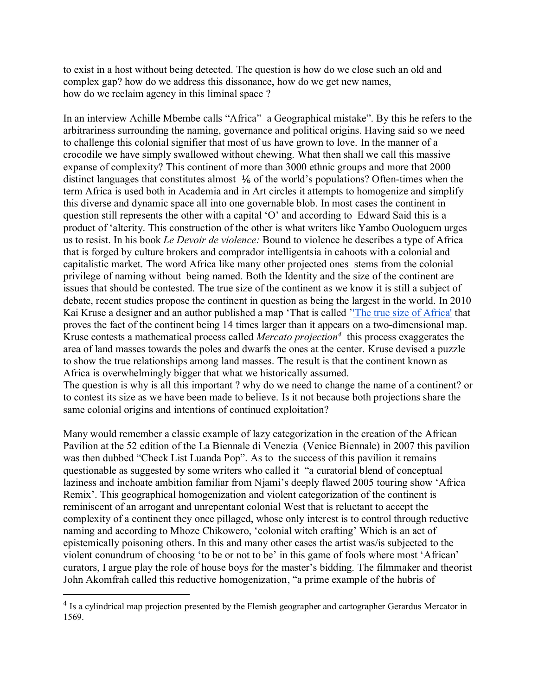to exist in a host without being detected. The question is how do we close such an old and complex gap? how do we address this dissonance, how do we get new names, how do we reclaim agency in this liminal space ?

In an interview Achille Mbembe calls "Africa" a Geographical mistake". By this he refers to the arbitrariness surrounding the naming, governance and political origins. Having said so we need to challenge this colonial signifier that most of us have grown to love. In the manner of a crocodile we have simply swallowed without chewing. What then shall we call this massive expanse of complexity? This continent of more than 3000 ethnic groups and more that 2000 distinct languages that constitutes almost ⅙ of the world's populations? Often-times when the term Africa is used both in Academia and in Art circles it attempts to homogenize and simplify this diverse and dynamic space all into one governable blob. In most cases the continent in question still represents the other with a capital 'O' and according to Edward Said this is a product of 'alterity. This construction of the other is what writers like Yambo Ouologuem urges us to resist. In his book *Le Devoir de violence:* Bound to violence he describes a type of Africa that is forged by culture brokers and comprador intelligentsia in cahoots with a colonial and capitalistic market. The word Africa like many other projected ones stems from the colonial privilege of naming without being named. Both the Identity and the size of the continent are issues that should be contested. The true size of the continent as we know it is still a subject of debate, recent studies propose the continent in question as being the largest in the world. In 2010 Kai Kruse a designer and an author published a map 'That is called '['The true size of Africa'](http://kai.sub.blue/en/africa.html) that proves the fact of the continent being 14 times larger than it appears on a two-dimensional map. Kruse contests a mathematical process called *Mercato projection<sup>4</sup>* this process exaggerates the area of land masses towards the poles and dwarfs the ones at the center. Kruse devised a puzzle to show the true relationships among land masses. The result is that the continent known as Africa is overwhelmingly bigger that what we historically assumed.

The question is why is all this important ? why do we need to change the name of a continent? or to contest its size as we have been made to believe. Is it not because both projections share the same colonial origins and intentions of continued exploitation?

Many would remember a classic example of lazy categorization in the creation of the African Pavilion at the 52 edition of the La Biennale di Venezia (Venice Biennale) in 2007 this pavilion was then dubbed "Check List Luanda Pop". As to the success of this pavilion it remains questionable as suggested by some writers who called it "a curatorial blend of conceptual laziness and inchoate ambition familiar from Njami's deeply flawed 2005 touring show 'Africa Remix'. This geographical homogenization and violent categorization of the continent is reminiscent of an arrogant and unrepentant colonial West that is reluctant to accept the complexity of a continent they once pillaged, whose only interest is to control through reductive naming and according to Mhoze Chikowero, 'colonial witch crafting' Which is an act of epistemically poisoning others. In this and many other cases the artist was/is subjected to the violent conundrum of choosing 'to be or not to be' in this game of fools where most 'African' curators, I argue play the role of house boys for the master's bidding. The filmmaker and theorist John Akomfrah called this reductive homogenization, "a prime example of the hubris of

<sup>&</sup>lt;sup>4</sup> Is a cylindrical map projection presented by the Flemish geographer and cartographer Gerardus Mercator in 1569.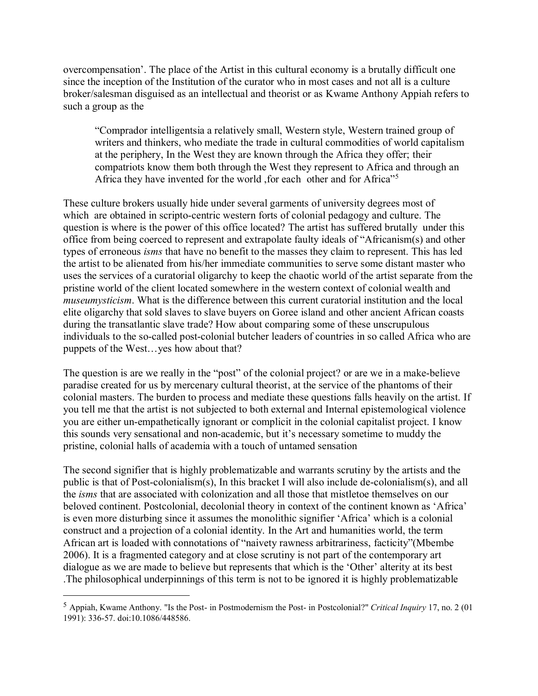overcompensation'. The place of the Artist in this cultural economy is a brutally difficult one since the inception of the Institution of the curator who in most cases and not all is a culture broker/salesman disguised as an intellectual and theorist or as Kwame Anthony Appiah refers to such a group as the

"Comprador intelligentsia a relatively small, Western style, Western trained group of writers and thinkers, who mediate the trade in cultural commodities of world capitalism at the periphery, In the West they are known through the Africa they offer; their compatriots know them both through the West they represent to Africa and through an Africa they have invented for the world ,for each other and for Africa"<sup>5</sup>

These culture brokers usually hide under several garments of university degrees most of which are obtained in scripto-centric western forts of colonial pedagogy and culture. The question is where is the power of this office located? The artist has suffered brutally under this office from being coerced to represent and extrapolate faulty ideals of "Africanism(s) and other types of erroneous *isms* that have no benefit to the masses they claim to represent. This has led the artist to be alienated from his/her immediate communities to serve some distant master who uses the services of a curatorial oligarchy to keep the chaotic world of the artist separate from the pristine world of the client located somewhere in the western context of colonial wealth and *museumysticism*. What is the difference between this current curatorial institution and the local elite oligarchy that sold slaves to slave buyers on Goree island and other ancient African coasts during the transatlantic slave trade? How about comparing some of these unscrupulous individuals to the so-called post-colonial butcher leaders of countries in so called Africa who are puppets of the West…yes how about that?

The question is are we really in the "post" of the colonial project? or are we in a make-believe paradise created for us by mercenary cultural theorist, at the service of the phantoms of their colonial masters. The burden to process and mediate these questions falls heavily on the artist. If you tell me that the artist is not subjected to both external and Internal epistemological violence you are either un-empathetically ignorant or complicit in the colonial capitalist project. I know this sounds very sensational and non-academic, but it's necessary sometime to muddy the pristine, colonial halls of academia with a touch of untamed sensation

The second signifier that is highly problematizable and warrants scrutiny by the artists and the public is that of Post-colonialism(s), In this bracket I will also include de-colonialism(s), and all the *isms* that are associated with colonization and all those that mistletoe themselves on our beloved continent. Postcolonial, decolonial theory in context of the continent known as 'Africa' is even more disturbing since it assumes the monolithic signifier 'Africa' which is a colonial construct and a projection of a colonial identity. In the Art and humanities world, the term African art is loaded with connotations of "naivety rawness arbitrariness, facticity"(Mbembe 2006). It is a fragmented category and at close scrutiny is not part of the contemporary art dialogue as we are made to believe but represents that which is the 'Other' alterity at its best .The philosophical underpinnings of this term is not to be ignored it is highly problematizable

<sup>5</sup> Appiah, Kwame Anthony. "Is the Post- in Postmodernism the Post- in Postcolonial?" *Critical Inquiry* 17, no. 2 (01 1991): 336-57. doi:10.1086/448586.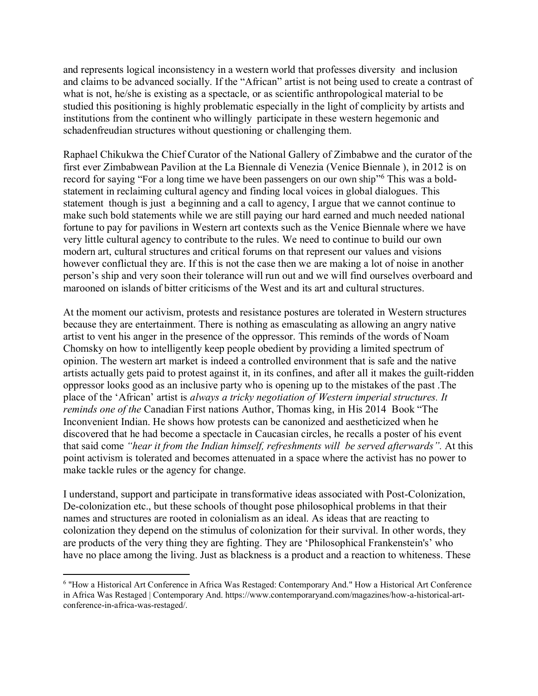and represents logical inconsistency in a western world that professes diversity and inclusion and claims to be advanced socially. If the "African" artist is not being used to create a contrast of what is not, he/she is existing as a spectacle, or as scientific anthropological material to be studied this positioning is highly problematic especially in the light of complicity by artists and institutions from the continent who willingly participate in these western hegemonic and schadenfreudian structures without questioning or challenging them.

Raphael Chikukwa the Chief Curator of the National Gallery of Zimbabwe and the curator of the first ever Zimbabwean Pavilion at the La Biennale di Venezia (Venice Biennale ), in 2012 is on record for saying "For a long time we have been passengers on our own ship"<sup>6</sup> This was a boldstatement in reclaiming cultural agency and finding local voices in global dialogues. This statement though is just a beginning and a call to agency, I argue that we cannot continue to make such bold statements while we are still paying our hard earned and much needed national fortune to pay for pavilions in Western art contexts such as the Venice Biennale where we have very little cultural agency to contribute to the rules. We need to continue to build our own modern art, cultural structures and critical forums on that represent our values and visions however conflictual they are. If this is not the case then we are making a lot of noise in another person's ship and very soon their tolerance will run out and we will find ourselves overboard and marooned on islands of bitter criticisms of the West and its art and cultural structures.

At the moment our activism, protests and resistance postures are tolerated in Western structures because they are entertainment. There is nothing as emasculating as allowing an angry native artist to vent his anger in the presence of the oppressor. This reminds of the words of Noam Chomsky on how to intelligently keep people obedient by providing a limited spectrum of opinion. The western art market is indeed a controlled environment that is safe and the native artists actually gets paid to protest against it, in its confines, and after all it makes the guilt-ridden oppressor looks good as an inclusive party who is opening up to the mistakes of the past .The place of the 'African' artist is *always a tricky negotiation of Western imperial structures. It reminds one of the* Canadian First nations Author, Thomas king, in His 2014 Book "The Inconvenient Indian. He shows how protests can be canonized and aestheticized when he discovered that he had become a spectacle in Caucasian circles, he recalls a poster of his event that said come *"hear it from the Indian himself, refreshments will be served afterwards".* At this point activism is tolerated and becomes attenuated in a space where the activist has no power to make tackle rules or the agency for change.

I understand, support and participate in transformative ideas associated with Post-Colonization, De-colonization etc., but these schools of thought pose philosophical problems in that their names and structures are rooted in colonialism as an ideal. As ideas that are reacting to colonization they depend on the stimulus of colonization for their survival. In other words, they are products of the very thing they are fighting. They are 'Philosophical Frankenstein's' who have no place among the living. Just as blackness is a product and a reaction to whiteness. These

<sup>6</sup> "How a Historical Art Conference in Africa Was Restaged: Contemporary And." How a Historical Art Conference in Africa Was Restaged | Contemporary And. https://www.contemporaryand.com/magazines/how-a-historical-artconference-in-africa-was-restaged/.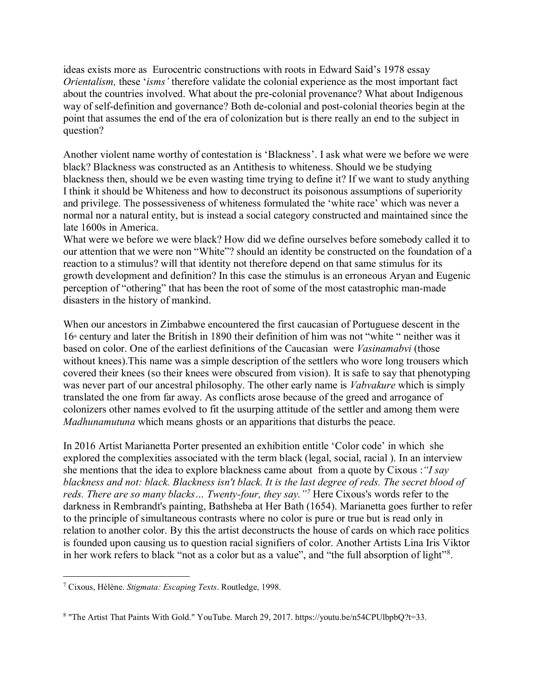ideas exists more as Eurocentric constructions with roots in Edward Said's 1978 essay *Orientalism,* these '*isms'* therefore validate the colonial experience as the most important fact about the countries involved. What about the pre-colonial provenance? What about Indigenous way of self-definition and governance? Both de-colonial and post-colonial theories begin at the point that assumes the end of the era of colonization but is there really an end to the subject in question?

Another violent name worthy of contestation is 'Blackness'. I ask what were we before we were black? Blackness was constructed as an Antithesis to whiteness. Should we be studying blackness then, should we be even wasting time trying to define it? If we want to study anything I think it should be Whiteness and how to deconstruct its poisonous assumptions of superiority and privilege. The possessiveness of whiteness formulated the 'white race' which was never a normal nor a natural entity, but is instead a social category constructed and maintained since the late 1600s in America.

What were we before we were black? How did we define ourselves before somebody called it to our attention that we were non "White"? should an identity be constructed on the foundation of a reaction to a stimulus? will that identity not therefore depend on that same stimulus for its growth development and definition? In this case the stimulus is an erroneous Aryan and Eugenic perception of "othering" that has been the root of some of the most catastrophic man-made disasters in the history of mankind.

When our ancestors in Zimbabwe encountered the first caucasian of Portuguese descent in the  $16<sup>th</sup>$  century and later the British in 1890 their definition of him was not "white " neither was it based on color. One of the earliest definitions of the Caucasian were *Vasinamabvi* (those without knees).This name was a simple description of the settlers who wore long trousers which covered their knees (so their knees were obscured from vision). It is safe to say that phenotyping was never part of our ancestral philosophy. The other early name is *Vabvakure* which is simply translated the one from far away. As conflicts arose because of the greed and arrogance of colonizers other names evolved to fit the usurping attitude of the settler and among them were *Madhunamutuna* which means ghosts or an apparitions that disturbs the peace.

In 2016 Artist Marianetta Porter presented an exhibition entitle 'Color code' in which she explored the complexities associated with the term black (legal, social, racial ). In an interview she mentions that the idea to explore blackness came about from a quote by Cixous :*"I say blackness and not: black. Blackness isn't black. It is the last degree of reds. The secret blood of reds. There are so many blacks… Twenty-four, they say."<sup>7</sup>* Here Cixous's words refer to the darkness in Rembrandt's painting, Bathsheba at Her Bath (1654). Marianetta goes further to refer to the principle of simultaneous contrasts where no color is pure or true but is read only in relation to another color. By this the artist deconstructs the house of cards on which race politics is founded upon causing us to question racial signifiers of color. Another Artists Lina Iris Viktor in her work refers to black "not as a color but as a value", and "the full absorption of light"<sup>8</sup>.

<sup>7</sup> Cixous, Hélène. *Stigmata: Escaping Texts*. Routledge, 1998.

<sup>&</sup>lt;sup>8</sup> "The Artist That Paints With Gold." YouTube. March 29, 2017. https://youtu.be/n54CPUlbpbQ?t=33.